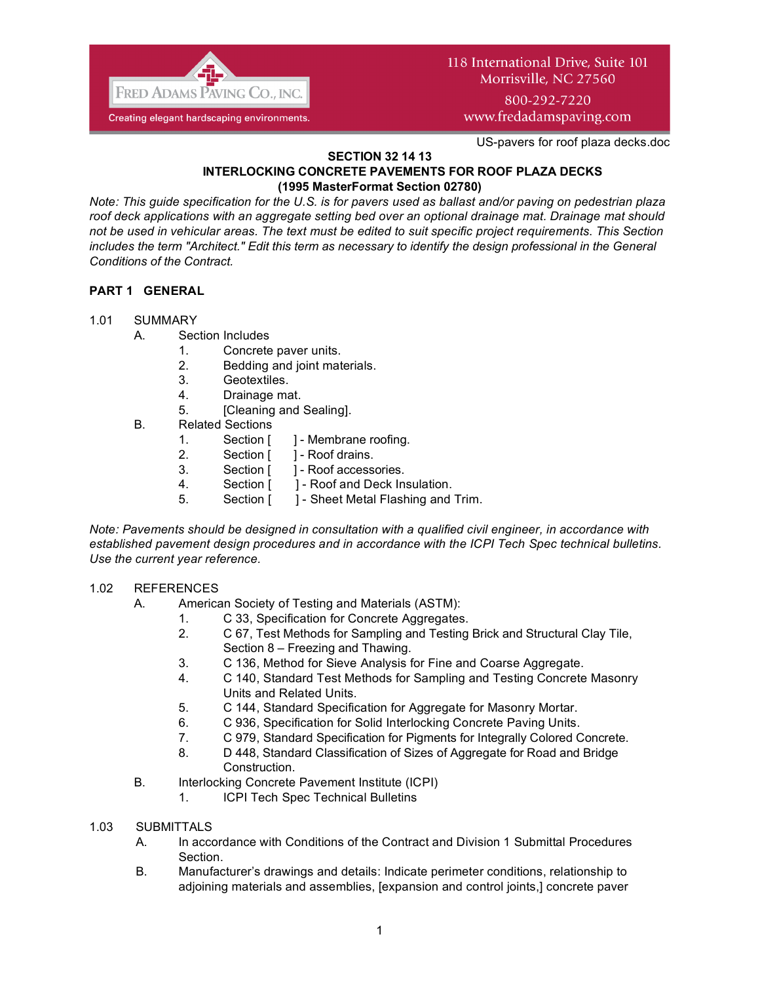

800-292-7220 www.fredadamspaving.com

US-pavers for roof plaza decks.doc

### **SECTION 32 14 13 INTERLOCKING CONCRETE PAVEMENTS FOR ROOF PLAZA DECKS (1995 MasterFormat Section 02780)**

*Note: This guide specification for the U.S. is for pavers used as ballast and/or paving on pedestrian plaza roof deck applications with an aggregate setting bed over an optional drainage mat. Drainage mat should not be used in vehicular areas. The text must be edited to suit specific project requirements*. *This Section*  includes the term "Architect." Edit this term as necessary to identify the design professional in the General *Conditions of the Contract.*

# **PART 1 GENERAL**

## 1.01 SUMMARY

- A. Section Includes
	- 1. Concrete paver units.
	- 2. Bedding and joint materials.
	- 3. Geotextiles.
	- 4. Drainage mat.
	- 5. [Cleaning and Sealing].
- B. Related Sections
	- 1. Section [ ] Membrane roofing.
	- 2. Section [ ] Roof drains.
	- 3. Section [ ] Roof accessories.
	- 4. Section [ ] Roof and Deck Insulation.
	- 5. Section [ ] Sheet Metal Flashing and Trim.

*Note: Pavements should be designed in consultation with a qualified civil engineer, in accordance with established pavement design procedures and in accordance with the ICPI Tech Spec technical bulletins. Use the current year reference.*

### 1.02 REFERENCES

- A. American Society of Testing and Materials (ASTM):
	- 1. C 33, Specification for Concrete Aggregates.
	- 2. C 67, Test Methods for Sampling and Testing Brick and Structural Clay Tile, Section 8 – Freezing and Thawing.
	- 3. C 136, Method for Sieve Analysis for Fine and Coarse Aggregate.
	- 4. C 140, Standard Test Methods for Sampling and Testing Concrete Masonry Units and Related Units.
	- 5. C 144, Standard Specification for Aggregate for Masonry Mortar.
	- 6. C 936, Specification for Solid Interlocking Concrete Paving Units.
	- 7. C 979, Standard Specification for Pigments for Integrally Colored Concrete.
	- 8. D 448, Standard Classification of Sizes of Aggregate for Road and Bridge Construction.
- B. Interlocking Concrete Pavement Institute (ICPI)
	- 1. ICPI Tech Spec Technical Bulletins
- 1.03 SUBMITTALS
	- A. In accordance with Conditions of the Contract and Division 1 Submittal Procedures Section.
	- B. Manufacturer's drawings and details: Indicate perimeter conditions, relationship to adjoining materials and assemblies, [expansion and control joints,] concrete paver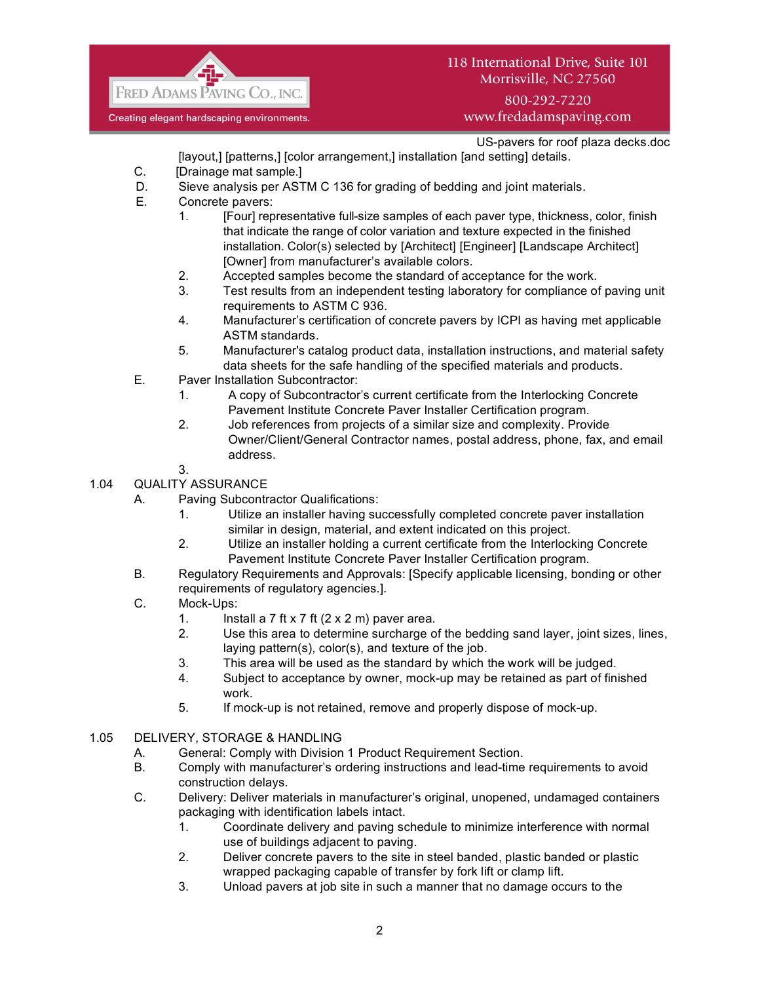

# 800-292-7220 www.fredadamspaving.com

US-pavers for roof plaza decks.doc

- [layout,] [patterns,] [color arrangement,] installation [and setting] details. C. [Drainage mat sample.]
- D. Sieve analysis per ASTM C 136 for grading of bedding and joint materials.
- E. Concrete pavers:
	- 1. [Four] representative full-size samples of each paver type, thickness, color, finish that indicate the range of color variation and texture expected in the finished installation. Color(s) selected by [Architect] [Engineer] [Landscape Architect] [Owner] from manufacturer's available colors.
	- 2. Accepted samples become the standard of acceptance for the work.
	- 3. Test results from an independent testing laboratory for compliance of paving unit requirements to ASTM C 936.
	- 4. Manufacturer's certification of concrete pavers by ICPI as having met applicable ASTM standards.
	- 5. Manufacturer's catalog product data, installation instructions, and material safety data sheets for the safe handling of the specified materials and products.
- E. Paver Installation Subcontractor:
	- 1. A copy of Subcontractor's current certificate from the Interlocking Concrete Pavement Institute Concrete Paver Installer Certification program.
	- 2. Job references from projects of a similar size and complexity. Provide Owner/Client/General Contractor names, postal address, phone, fax, and email address.
	- 3.

# 1.04 QUALITY ASSURANCE

- A. Paving Subcontractor Qualifications:
	- 1. Utilize an installer having successfully completed concrete paver installation similar in design, material, and extent indicated on this project.
	- 2. Utilize an installer holding a current certificate from the Interlocking Concrete Pavement Institute Concrete Paver Installer Certification program.
- B. Regulatory Requirements and Approvals: [Specify applicable licensing, bonding or other requirements of regulatory agencies.].
- C. Mock-Ups:
	- 1. Install a 7 ft x 7 ft  $(2 \times 2 \text{ m})$  paver area.
	- 2. Use this area to determine surcharge of the bedding sand layer, joint sizes, lines, laying pattern(s), color(s), and texture of the job.
	- 3. This area will be used as the standard by which the work will be judged.
	- 4. Subject to acceptance by owner, mock-up may be retained as part of finished work.
	- 5. If mock-up is not retained, remove and properly dispose of mock-up.
- 1.05 DELIVERY, STORAGE & HANDLING
	- A. General: Comply with Division 1 Product Requirement Section.
	- B. Comply with manufacturer's ordering instructions and lead-time requirements to avoid construction delays.
	- C. Delivery: Deliver materials in manufacturer's original, unopened, undamaged containers packaging with identification labels intact.
		- 1. Coordinate delivery and paving schedule to minimize interference with normal use of buildings adjacent to paving.
		- 2. Deliver concrete pavers to the site in steel banded, plastic banded or plastic wrapped packaging capable of transfer by fork lift or clamp lift.
		- 3. Unload pavers at job site in such a manner that no damage occurs to the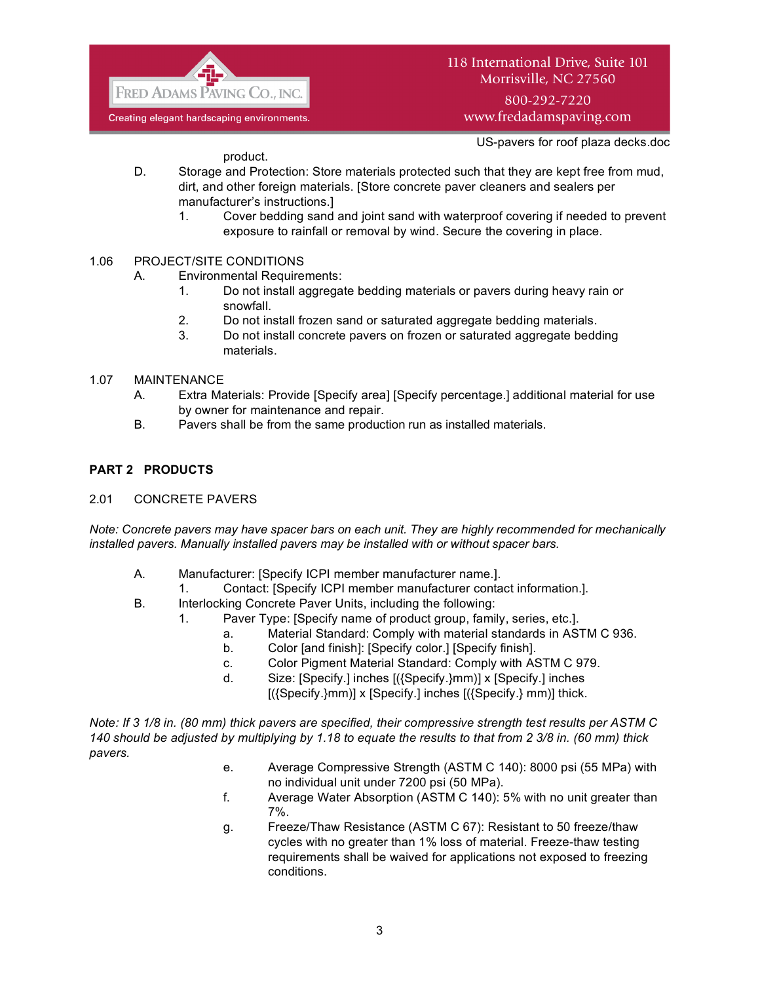

800-292-7220 www.fredadamspaving.com

US-pavers for roof plaza decks.doc

product.

- D. Storage and Protection: Store materials protected such that they are kept free from mud, dirt, and other foreign materials. [Store concrete paver cleaners and sealers per manufacturer's instructions.]
	- 1. Cover bedding sand and joint sand with waterproof covering if needed to prevent exposure to rainfall or removal by wind. Secure the covering in place.
- 1.06 PROJECT/SITE CONDITIONS
	- A. Environmental Requirements:
		- 1. Do not install aggregate bedding materials or pavers during heavy rain or snowfall.
		- 2. Do not install frozen sand or saturated aggregate bedding materials.
		- 3. Do not install concrete pavers on frozen or saturated aggregate bedding materials.
- 1.07 MAINTENANCE
	- A. Extra Materials: Provide [Specify area] [Specify percentage.] additional material for use by owner for maintenance and repair.
	- B. Pavers shall be from the same production run as installed materials.

## **PART 2 PRODUCTS**

2.01 CONCRETE PAVERS

*Note: Concrete pavers may have spacer bars on each unit. They are highly recommended for mechanically installed pavers. Manually installed pavers may be installed with or without spacer bars.*

- A. Manufacturer: [Specify ICPI member manufacturer name.].
	- 1. Contact: [Specify ICPI member manufacturer contact information.].
- B. Interlocking Concrete Paver Units, including the following:
	- 1. Paver Type: [Specify name of product group, family, series, etc.].
		- a. Material Standard: Comply with material standards in ASTM C 936.
		- b. Color [and finish]: [Specify color.] [Specify finish].
		- c. Color Pigment Material Standard: Comply with ASTM C 979.
		- d. Size: [Specify.] inches [({Specify.}mm)] x [Specify.] inches

 $[(\text{Specify.}\}m\text{m})] \times [\text{Specify.}]$  inches  $[(\text{Specify.}\}m\text{m})]$  thick.

*Note: If 3 1/8 in. (80 mm) thick pavers are specified, their compressive strength test results per ASTM C 140 should be adjusted by multiplying by 1.18 to equate the results to that from 2 3/8 in. (60 mm) thick pavers.*

- e. Average Compressive Strength (ASTM C 140): 8000 psi (55 MPa) with no individual unit under 7200 psi (50 MPa).
- f. Average Water Absorption (ASTM C 140): 5% with no unit greater than 7%.
- g. Freeze/Thaw Resistance (ASTM C 67): Resistant to 50 freeze/thaw cycles with no greater than 1% loss of material. Freeze-thaw testing requirements shall be waived for applications not exposed to freezing conditions.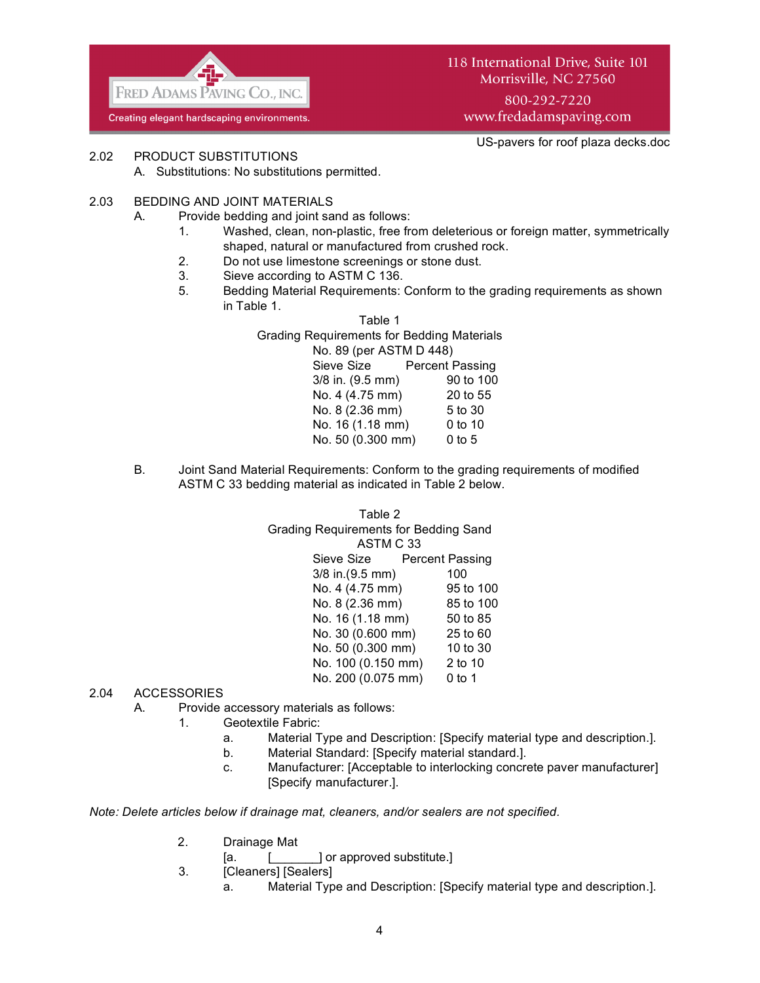

800-292-7220 www.fredadamspaving.com

US-pavers for roof plaza decks.doc

2.02 PRODUCT SUBSTITUTIONS

- A. Substitutions: No substitutions permitted.
- 2.03 BEDDING AND JOINT MATERIALS
	- A. Provide bedding and joint sand as follows:
		- 1. Washed, clean, non-plastic, free from deleterious or foreign matter, symmetrically shaped, natural or manufactured from crushed rock.
		- 2. Do not use limestone screenings or stone dust.
		- 3. Sieve according to ASTM C 136.
		- 5. Bedding Material Requirements: Conform to the grading requirements as shown in Table 1.

| Table 1                                           |           |  |
|---------------------------------------------------|-----------|--|
| <b>Grading Requirements for Bedding Materials</b> |           |  |
| No. 89 (per ASTM D 448)                           |           |  |
| Sieve Size Percent Passing                        |           |  |
| $3/8$ in. $(9.5$ mm)                              | 90 to 100 |  |
| No. 4 (4.75 mm)                                   | 20 to 55  |  |
| No. 8 (2.36 mm)                                   | 5 to 30   |  |
| No. 16 (1.18 mm)                                  | $0$ to 10 |  |
| No. 50 (0.300 mm)                                 | $0$ to 5  |  |
|                                                   |           |  |

B. Joint Sand Material Requirements: Conform to the grading requirements of modified ASTM C 33 bedding material as indicated in Table 2 below.

> Table 2 Grading Requirements for Bedding Sand ASTM C 33 Sieve Size Percent Passing 3/8 in.(9.5 mm) 100 No. 4 (4.75 mm) 95 to 100 No. 8 (2.36 mm) 85 to 100 No. 16 (1.18 mm) 50 to 85 No. 30 (0.600 mm) 25 to 60 No. 50 (0.300 mm) 10 to 30 No. 100 (0.150 mm) 2 to 10 No. 200 (0.075 mm) 0 to 1

## 2.04 ACCESSORIES

- A. Provide accessory materials as follows:
	- 1. Geotextile Fabric:
		- a. Material Type and Description: [Specify material type and description.].
		- b. Material Standard: [Specify material standard.].
		- c. Manufacturer: [Acceptable to interlocking concrete paver manufacturer] [Specify manufacturer.].

*Note: Delete articles below if drainage mat, cleaners, and/or sealers are not specified.*

- 2. Drainage Mat
	- [a.  $\left[\begin{array}{ccc} 0 & 1 \end{array}\right]$  or approved substitute.]
- 3. [Cleaners] [Sealers]
	- a. Material Type and Description: [Specify material type and description.].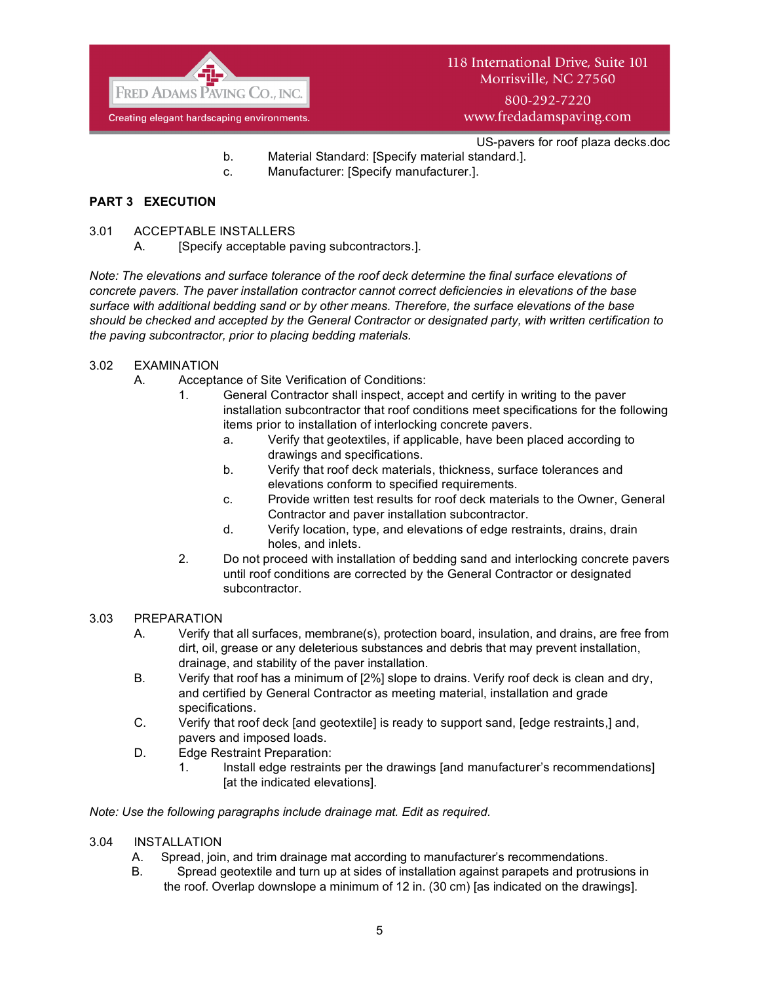

800-292-7220 www.fredadamspaving.com

- US-pavers for roof plaza decks.doc
- b. Material Standard: [Specify material standard.].
- c. Manufacturer: [Specify manufacturer.].

# **PART 3 EXECUTION**

- 3.01 ACCEPTABLE INSTALLERS
	- A. [Specify acceptable paving subcontractors.].

*Note: The elevations and surface tolerance of the roof deck determine the final surface elevations of concrete pavers. The paver installation contractor cannot correct deficiencies in elevations of the base surface with additional bedding sand or by other means. Therefore, the surface elevations of the base should be checked and accepted by the General Contractor or designated party, with written certification to the paving subcontractor, prior to placing bedding materials.*

## 3.02 EXAMINATION

- A. Acceptance of Site Verification of Conditions:
	- 1. General Contractor shall inspect, accept and certify in writing to the paver installation subcontractor that roof conditions meet specifications for the following items prior to installation of interlocking concrete pavers.
		- a. Verify that geotextiles, if applicable, have been placed according to drawings and specifications.
		- b. Verify that roof deck materials, thickness, surface tolerances and elevations conform to specified requirements.
		- c. Provide written test results for roof deck materials to the Owner, General Contractor and paver installation subcontractor.
		- d. Verify location, type, and elevations of edge restraints, drains, drain holes, and inlets.
	- 2. Do not proceed with installation of bedding sand and interlocking concrete pavers until roof conditions are corrected by the General Contractor or designated subcontractor.

### 3.03 PREPARATION

- A. Verify that all surfaces, membrane(s), protection board, insulation, and drains, are free from dirt, oil, grease or any deleterious substances and debris that may prevent installation, drainage, and stability of the paver installation.
- B. Verify that roof has a minimum of [2%] slope to drains. Verify roof deck is clean and dry, and certified by General Contractor as meeting material, installation and grade specifications.
- C. Verify that roof deck [and geotextile] is ready to support sand, [edge restraints,] and, pavers and imposed loads.
- D. Edge Restraint Preparation:
	- 1. Install edge restraints per the drawings [and manufacturer's recommendations] [at the indicated elevations].

### *Note: Use the following paragraphs include drainage mat. Edit as required.*

- 3.04 INSTALLATION
	- A. Spread, join, and trim drainage mat according to manufacturer's recommendations.
	- B. Spread geotextile and turn up at sides of installation against parapets and protrusions in the roof. Overlap downslope a minimum of 12 in. (30 cm) [as indicated on the drawings].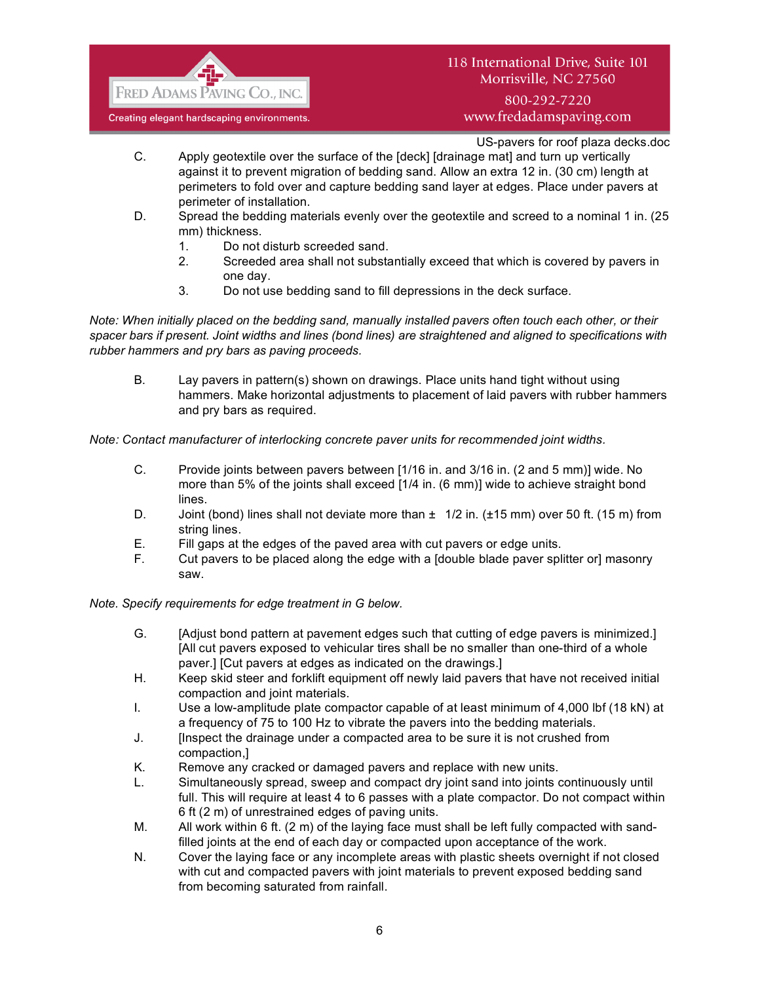

800-292-7220 www.fredadamspaving.com

US-pavers for roof plaza decks.doc

- C. Apply geotextile over the surface of the [deck] [drainage mat] and turn up vertically against it to prevent migration of bedding sand. Allow an extra 12 in. (30 cm) length at perimeters to fold over and capture bedding sand layer at edges. Place under pavers at perimeter of installation.
- D. Spread the bedding materials evenly over the geotextile and screed to a nominal 1 in. (25 mm) thickness.
	- 1. Do not disturb screeded sand.
	- 2. Screeded area shall not substantially exceed that which is covered by pavers in one day.
	- 3. Do not use bedding sand to fill depressions in the deck surface.

*Note: When initially placed on the bedding sand, manually installed pavers often touch each other, or their spacer bars if present. Joint widths and lines (bond lines) are straightened and aligned to specifications with rubber hammers and pry bars as paving proceeds.*

B. Lay pavers in pattern(s) shown on drawings. Place units hand tight without using hammers. Make horizontal adjustments to placement of laid pavers with rubber hammers and pry bars as required.

*Note: Contact manufacturer of interlocking concrete paver units for recommended joint widths.*

- C. Provide joints between pavers between [1/16 in. and 3/16 in. (2 and 5 mm)] wide. No more than 5% of the joints shall exceed [1/4 in. (6 mm)] wide to achieve straight bond lines.
- D. Joint (bond) lines shall not deviate more than  $\pm 1/2$  in. ( $\pm 15$  mm) over 50 ft. (15 m) from string lines.
- E. Fill gaps at the edges of the paved area with cut pavers or edge units.
- F. Cut pavers to be placed along the edge with a [double blade paver splitter or] masonry saw.

*Note. Specify requirements for edge treatment in G below.*

- G. [Adjust bond pattern at pavement edges such that cutting of edge pavers is minimized.] [All cut pavers exposed to vehicular tires shall be no smaller than one-third of a whole paver.] [Cut pavers at edges as indicated on the drawings.]
- H. Keep skid steer and forklift equipment off newly laid pavers that have not received initial compaction and joint materials.
- I. Use a low-amplitude plate compactor capable of at least minimum of 4,000 lbf (18 kN) at a frequency of 75 to 100 Hz to vibrate the pavers into the bedding materials.
- J. [Inspect the drainage under a compacted area to be sure it is not crushed from compaction,]
- K. Remove any cracked or damaged pavers and replace with new units.
- L. Simultaneously spread, sweep and compact dry joint sand into joints continuously until full. This will require at least 4 to 6 passes with a plate compactor. Do not compact within 6 ft (2 m) of unrestrained edges of paving units.
- M. All work within 6 ft. (2 m) of the laying face must shall be left fully compacted with sandfilled joints at the end of each day or compacted upon acceptance of the work.
- N. Cover the laying face or any incomplete areas with plastic sheets overnight if not closed with cut and compacted pavers with joint materials to prevent exposed bedding sand from becoming saturated from rainfall.